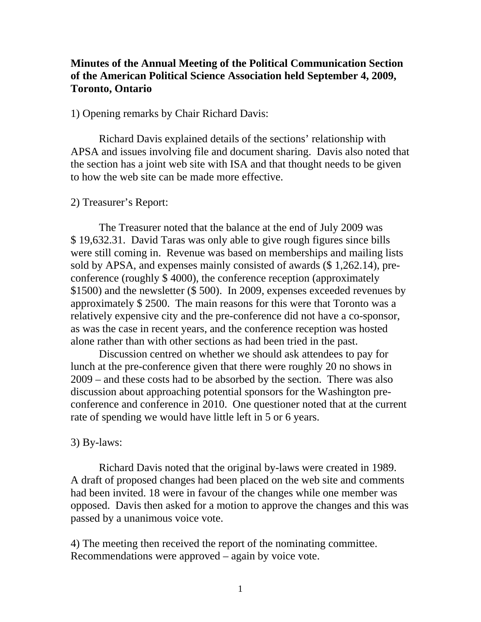## **Minutes of the Annual Meeting of the Political Communication Section of the American Political Science Association held September 4, 2009, Toronto, Ontario**

## 1) Opening remarks by Chair Richard Davis:

 Richard Davis explained details of the sections' relationship with APSA and issues involving file and document sharing. Davis also noted that the section has a joint web site with ISA and that thought needs to be given to how the web site can be made more effective.

## 2) Treasurer's Report:

 The Treasurer noted that the balance at the end of July 2009 was \$ 19,632.31. David Taras was only able to give rough figures since bills were still coming in. Revenue was based on memberships and mailing lists sold by APSA, and expenses mainly consisted of awards (\$ 1,262.14), preconference (roughly \$ 4000), the conference reception (approximately \$1500) and the newsletter (\$ 500). In 2009, expenses exceeded revenues by approximately \$ 2500. The main reasons for this were that Toronto was a relatively expensive city and the pre-conference did not have a co-sponsor, as was the case in recent years, and the conference reception was hosted alone rather than with other sections as had been tried in the past.

 Discussion centred on whether we should ask attendees to pay for lunch at the pre-conference given that there were roughly 20 no shows in 2009 – and these costs had to be absorbed by the section. There was also discussion about approaching potential sponsors for the Washington preconference and conference in 2010. One questioner noted that at the current rate of spending we would have little left in 5 or 6 years.

## 3) By-laws:

Richard Davis noted that the original by-laws were created in 1989. A draft of proposed changes had been placed on the web site and comments had been invited. 18 were in favour of the changes while one member was opposed. Davis then asked for a motion to approve the changes and this was passed by a unanimous voice vote.

4) The meeting then received the report of the nominating committee. Recommendations were approved – again by voice vote.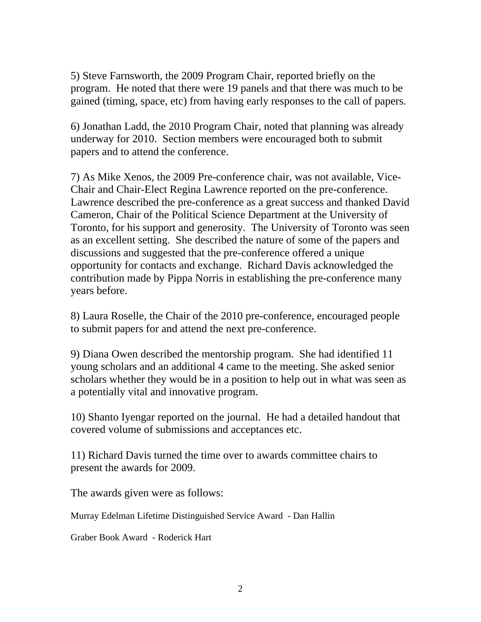5) Steve Farnsworth, the 2009 Program Chair, reported briefly on the program. He noted that there were 19 panels and that there was much to be gained (timing, space, etc) from having early responses to the call of papers.

6) Jonathan Ladd, the 2010 Program Chair, noted that planning was already underway for 2010. Section members were encouraged both to submit papers and to attend the conference.

7) As Mike Xenos, the 2009 Pre-conference chair, was not available, Vice-Chair and Chair-Elect Regina Lawrence reported on the pre-conference. Lawrence described the pre-conference as a great success and thanked David Cameron, Chair of the Political Science Department at the University of Toronto, for his support and generosity. The University of Toronto was seen as an excellent setting. She described the nature of some of the papers and discussions and suggested that the pre-conference offered a unique opportunity for contacts and exchange. Richard Davis acknowledged the contribution made by Pippa Norris in establishing the pre-conference many years before.

8) Laura Roselle, the Chair of the 2010 pre-conference, encouraged people to submit papers for and attend the next pre-conference.

9) Diana Owen described the mentorship program. She had identified 11 young scholars and an additional 4 came to the meeting. She asked senior scholars whether they would be in a position to help out in what was seen as a potentially vital and innovative program.

10) Shanto Iyengar reported on the journal. He had a detailed handout that covered volume of submissions and acceptances etc.

11) Richard Davis turned the time over to awards committee chairs to present the awards for 2009.

The awards given were as follows:

Murray Edelman Lifetime Distinguished Service Award - Dan Hallin

Graber Book Award - Roderick Hart